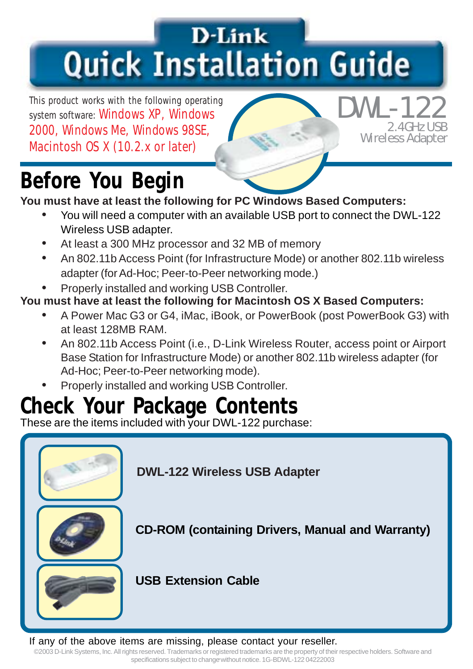## D-Link **Quick Installation Guide**

This product works with the following operating system software: Windows XP, Windows 2000, Windows Me, Windows 98SE, Macintosh OS X (10.2.x or later)

#### **2.4GHz USB Wireless Adapter DWL-122**

### **Before You Begin**

#### **You must have at least the following for PC Windows Based Computers:**

- You will need a computer with an available USB port to connect the DWL-122 Wireless USB adapter.
- At least a 300 MHz processor and 32 MB of memory
- An 802.11b Access Point (for Infrastructure Mode) or another 802.11b wireless adapter (for Ad-Hoc; Peer-to-Peer networking mode.)
- Properly installed and working USB Controller.

#### **You must have at least the following for Macintosh OS X Based Computers:**

- A Power Mac G3 or G4, iMac, iBook, or PowerBook (post PowerBook G3) with at least 128MB RAM.
- An 802.11b Access Point (i.e., D-Link Wireless Router, access point or Airport Base Station for Infrastructure Mode) or another 802.11b wireless adapter (for Ad-Hoc; Peer-to-Peer networking mode).
- Properly installed and working USB Controller.

#### **Check Your Package Contents**

These are the items included with your DWL-122 purchase:



If any of the above items are missing, please contact your reseller.

nts reserved. Trademarks or registered trademarks are the property or the<br>specifications subject to change without notice. 1G-BDWL-122 04222003 ©2003 D-Link Systems, Inc. All rights reserved. Trademarks or registered trademarks are the property of their respective holders. Software and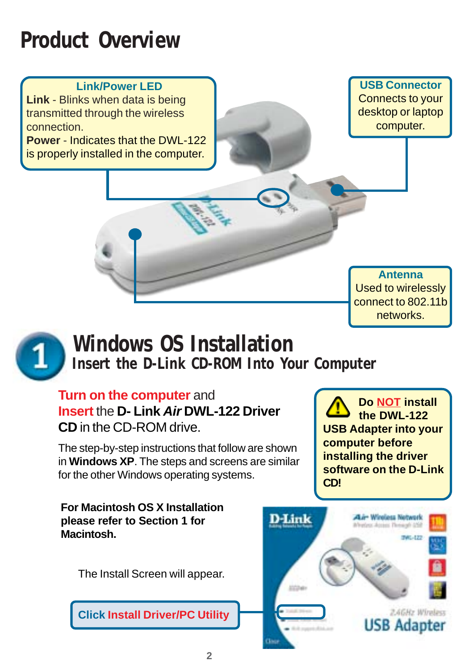#### **Product Overview**

#### **Link/Power LED**

**Link** - Blinks when data is being transmitted through the wireless connection.

**Power** - Indicates that the DWL-122 is properly installed in the computer.

**USB Connector** Connects to your desktop or laptop computer.

**Antenna** Used to wirelessly connect to 802.11b networks.



### **Windows OS Installation**

**Insert the D-Link CD-ROM Into Your Computer**

#### **Turn on the computer** and

**Insert** the **D- Link** *Air* **DWL-122 Driver CD** in the CD-ROM drive.

The step-by-step instructions that follow are shown in **Windows XP**. The steps and screens are similar for the other Windows operating systems.

**For Macintosh OS X Installation please refer to Section 1 for Macintosh.**

The Install Screen will appear.

**Click Install Driver/PC Utility**



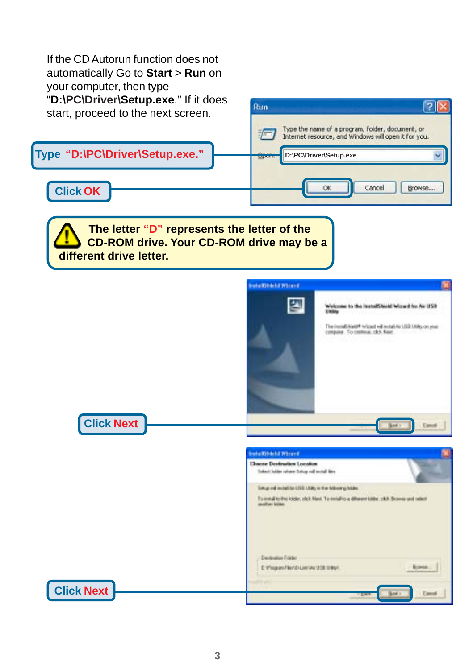| If the CD Autorun function does not<br>automatically Go to Start > Run on<br>your computer, then type<br>"D:\PC\Driver\Setup.exe." If it does<br>start, proceed to the next screen. | 1? I<br>Run                                                                                                                                                                                                 |
|-------------------------------------------------------------------------------------------------------------------------------------------------------------------------------------|-------------------------------------------------------------------------------------------------------------------------------------------------------------------------------------------------------------|
|                                                                                                                                                                                     | Type the name of a program, folder, document, or<br>Internet resource, and Windows will open it for you.                                                                                                    |
| Type "D:\PC\Driver\Setup.exe."                                                                                                                                                      | D:\PC\Driver\Setup.exe                                                                                                                                                                                      |
| <b>Click OK</b>                                                                                                                                                                     | OK<br>Cancel<br>Browse                                                                                                                                                                                      |
| The letter "D" represents the letter of the<br><b>CD-ROM drive. Your CD-ROM drive may be a</b><br>different drive letter.                                                           |                                                                                                                                                                                                             |
|                                                                                                                                                                                     | <b>Intellibertal Primeral</b><br>Welcome to the leaselShield Wourd for Air USB                                                                                                                              |
|                                                                                                                                                                                     | <b>STARING</b><br>The instalS highly in good will install his LSS LSBs on your<br>crepser. To control. ck5. Next.                                                                                           |
| <b>Click Next</b>                                                                                                                                                                   |                                                                                                                                                                                                             |
|                                                                                                                                                                                     | staltikati Wirant<br><b>Chaose Devination Location</b>                                                                                                                                                      |
|                                                                                                                                                                                     | Salest Jubbs where Setup roll mobil line.<br>long rd initiative LSD USA; in the biborigi hide.<br>To motal to the locals; click Mext. To inmall to a different lokke, click. Showns and select<br>fi ser bi |
|                                                                                                                                                                                     | Declaration Folder<br>E: Wingson/TechD-Linklute (208 (1994)                                                                                                                                                 |
| <b>Click Next</b>                                                                                                                                                                   |                                                                                                                                                                                                             |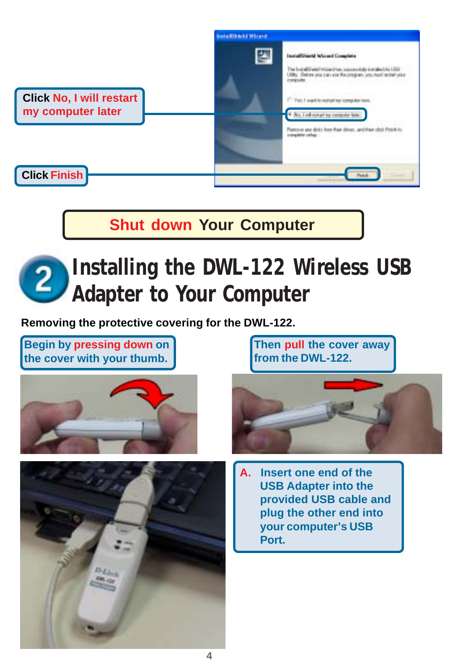

**Shut down Your Computer**

# **Installing the DWL-122 Wireless USB Adapter to Your Computer**

**Removing the protective covering for the DWL-122.**

**Begin by pressing down on the cover with your thumb.**





**Then pull the cover away from the DWL-122.**



**A. Insert one end of the USB Adapter into the provided USB cable and plug the other end into your computer's USB Port.**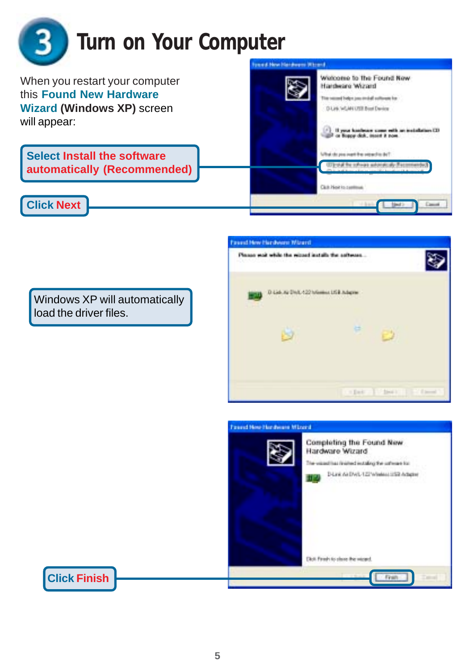

Windows XP will automatically load the driver files.

**Click Finish**



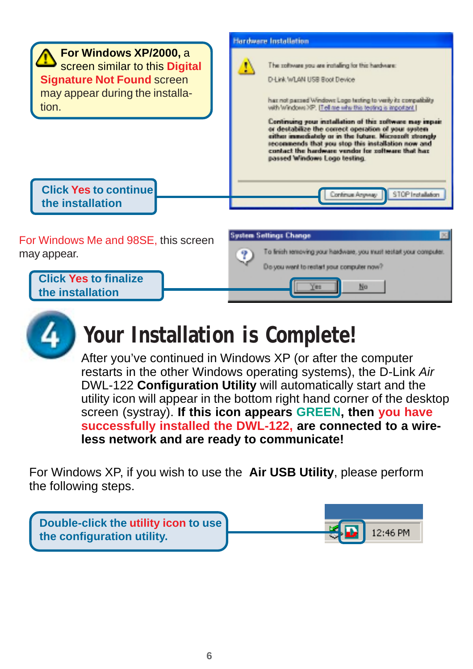



#### **Your Installation is Complete!**

After you've continued in Windows XP (or after the computer restarts in the other Windows operating systems), the D-Link *Air* DWL-122 **Configuration Utility** will automatically start and the utility icon will appear in the bottom right hand corner of the desktop screen (systray). **If this icon appears GREEN, then you have successfully installed the DWL-122, are connected to a wireless network and are ready to communicate!**

For Windows XP, if you wish to use the **Air USB Utility**, please perform the following steps.

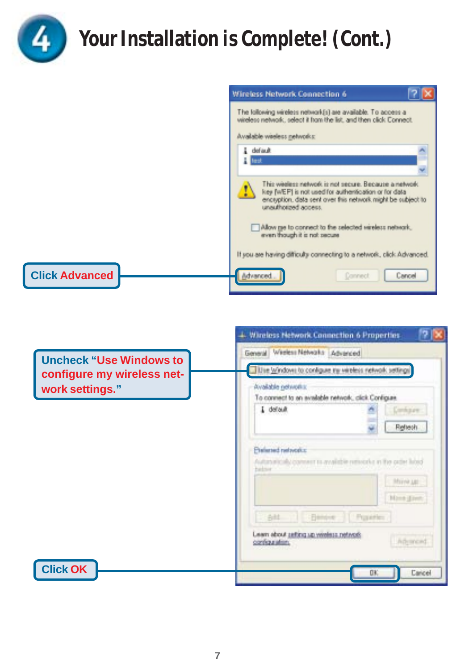

### **Your Installation is Complete! (Cont.)**

| Wireless Network Connection 6                                                                                                                                                                         |
|-------------------------------------------------------------------------------------------------------------------------------------------------------------------------------------------------------|
| The following wireless network(s) are available. To access a<br>wireless network, select it from the list, and then olick Connect.<br>Available wiedess networks:                                     |
| & default<br>$H$ lest                                                                                                                                                                                 |
| This weekess network is not secure. Because a network.<br>key [wEP] is not used for authentication or for data<br>enceyption, data sent over this network might be subject to<br>unauthorized access. |
| Allow ge to connect to the selected wireless network,<br>even though it is not secure                                                                                                                 |
| If you are having difficulty connecting to a network, click Advanced.                                                                                                                                 |
| Advanced<br>Connect<br>Cancel                                                                                                                                                                         |

|                                | + Wireless Network Connection 6 Properties                                                                                         |  |  |  |  |  |
|--------------------------------|------------------------------------------------------------------------------------------------------------------------------------|--|--|--|--|--|
| <b>Uncheck "Use Windows to</b> | General Weekers Networks Advanced<br>Use Windows to configure by verdess network settings                                          |  |  |  |  |  |
| configure my wireless net-     |                                                                                                                                    |  |  |  |  |  |
| work settings."                | Available networks:<br>To connect to an evalable network, click Configure.                                                         |  |  |  |  |  |
|                                | I default<br>Containe:                                                                                                             |  |  |  |  |  |
|                                | Rehesh                                                                                                                             |  |  |  |  |  |
|                                | Preferred networks:<br>Autonomically comment to available remotely in the order hired<br>hadner of the<br>Mirre un<br>Hone (Einst) |  |  |  |  |  |
|                                | -Denove   Popertes<br>Alt.                                                                                                         |  |  |  |  |  |
|                                | Schedula subject guides today week.<br>Advanced<br>configuration.                                                                  |  |  |  |  |  |
| <b>Click OK</b>                | Cancel<br>OK                                                                                                                       |  |  |  |  |  |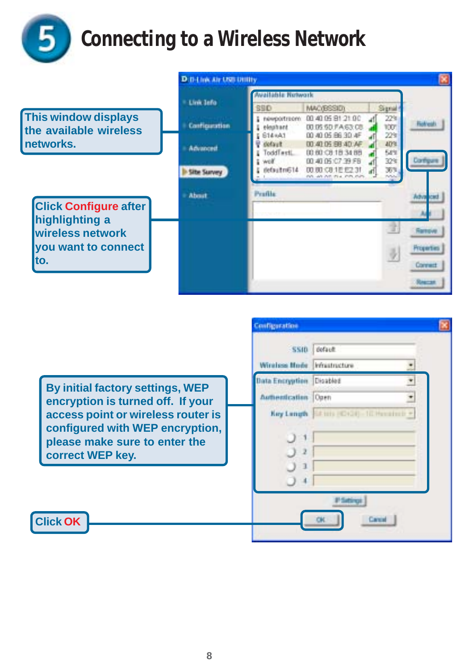

### **Connecting to a Wireless Network**

|                                                       | D:0-1 low Air USB Utility |                                          |                                                                                  |                          |            |
|-------------------------------------------------------|---------------------------|------------------------------------------|----------------------------------------------------------------------------------|--------------------------|------------|
|                                                       | Link Jefa                 | Wallahis Network                         |                                                                                  |                          |            |
|                                                       |                           | <b>SSD</b>                               | <b>MAC/BSSID1</b>                                                                | Signal                   |            |
| <b>This window displays</b><br>the available wireless | Configuration             | newportreorn:<br>elegitunt               | 00 40 05 81 21 00<br>00.05.50 FA 63:08                                           | 22%<br>1001              |            |
| Inetworks.                                            | Advanced                  | 614 (A1)<br>lofault<br>InddTestL<br>wolf | 00 40 05 86 30 4F<br>00.40.05.68.40.AF<br>00:00:09:18:34:88<br>00.40.05:C7:39.FB | 22%<br>40%<br>58%<br>32% |            |
|                                                       | <b>Lite Survey</b>        | defaultn614                              | 00:00:C8:1E E2:31<br>not an out-mix into mini-                                   | 36%<br>now               |            |
|                                                       | About                     | Perfile                                  |                                                                                  |                          |            |
| <b>Click Configure after</b><br>highlighting a        |                           |                                          |                                                                                  |                          |            |
| wireless network<br>you want to connect               |                           |                                          |                                                                                  |                          | Ramove     |
|                                                       |                           |                                          |                                                                                  |                          | Properties |
| lto.                                                  |                           |                                          |                                                                                  |                          | Connect    |
|                                                       |                           |                                          |                                                                                  |                          |            |

|                                                                                                                            | Configuration                |                                          |  |
|----------------------------------------------------------------------------------------------------------------------------|------------------------------|------------------------------------------|--|
|                                                                                                                            | <b>SSID</b>                  | default.                                 |  |
|                                                                                                                            | Windess Blode Infrastructure |                                          |  |
|                                                                                                                            | Data Encryption Disabled     |                                          |  |
| By initial factory settings, WEP<br>encryption is turned off. If your                                                      | Authentication   Open        |                                          |  |
| access point or wireless router is<br>configured with WEP encryption,<br>please make sure to enter the<br>correct WEP key. |                              | Ney Longth Ed to (C) (3) - 10 Hondroll + |  |
| <b>Click OK</b>                                                                                                            |                              | Carrie                                   |  |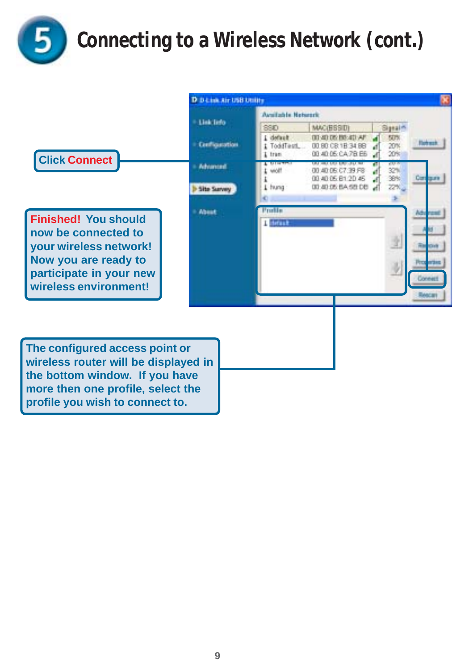

### **Connecting to a Wireless Network (cont.)**

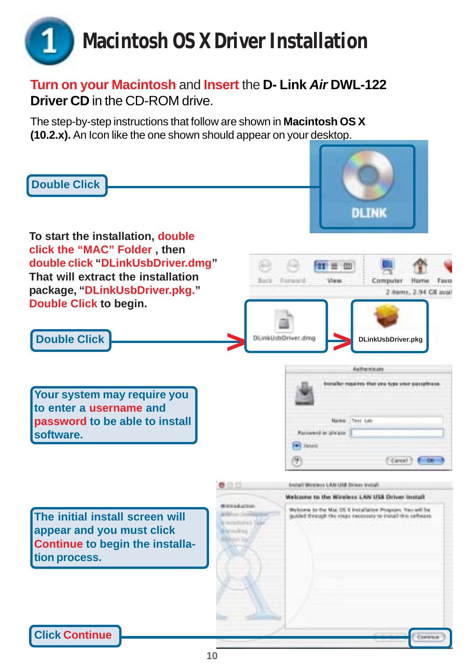# **Macintosh OS X Driver Installation**

#### **Turn on your Macintosh** and **Insert** the **D- Link** *Air* **DWL-122 Driver CD** in the CD-ROM drive.

The step-by-step instructions that follow are shown in **Macintosh OS X (10.2.x).** An Icon like the one shown should appear on your desktop.

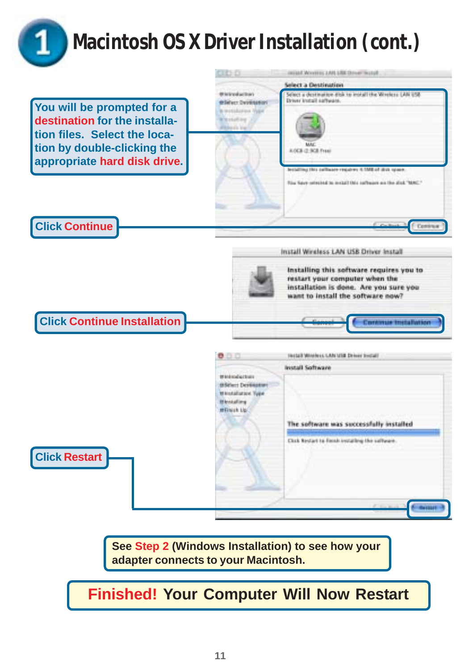

### **Macintosh OS X Driver Installation (cont.)**

**You will be prompted for a destination for the installation files. Select the location by double-clicking the appropriate hard disk drive.**

**Click Continue**



#### Install Windess LAN USB Driver Install



**See Step 2 (Windows Installation) to see how your adapter connects to your Macintosh.**

**Finished! Your Computer Will Now Restart**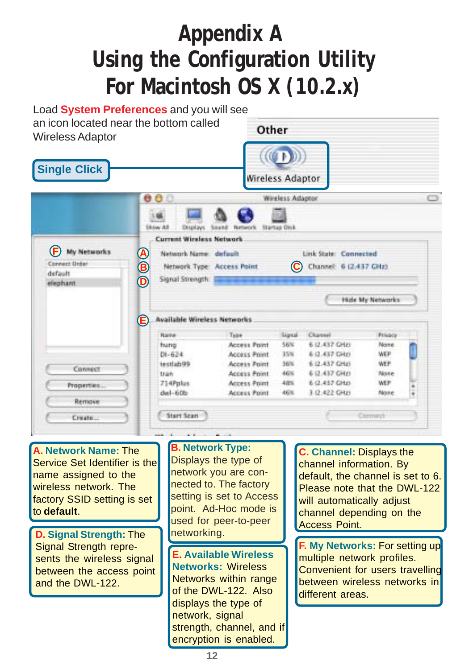#### **Appendix A Using the Configuration Utility For Macintosh OS X (10.2.x)**

| an icon located near the bottom called<br><b>Wireless Adaptor</b><br><b>Single Click</b> |        |                                                                                                                                                        | Other                   |                                     |                                                 |                  |   |
|------------------------------------------------------------------------------------------|--------|--------------------------------------------------------------------------------------------------------------------------------------------------------|-------------------------|-------------------------------------|-------------------------------------------------|------------------|---|
|                                                                                          |        |                                                                                                                                                        | Wireless Adaptor        |                                     |                                                 |                  |   |
|                                                                                          |        | 000                                                                                                                                                    |                         | Wireless Adaptor                    |                                                 |                  |   |
| (F)<br><b>My Networks</b><br><b>Connect Drdan</b><br>default<br>elephant                 | @<br>® | <b>Skow All</b><br>Displays:<br><b>Current Wireless Network</b><br>Network Name: default<br>Network Type: Access Point<br>Signal Strength: Figure 1999 | <b>Sound</b><br>Network | <b>Startus Disk</b><br>$\mathbf{C}$ | Link State: Connected<br>Channel: 6 (2.437 GHz) | Hide My Networks |   |
|                                                                                          | œ      | <b>Available Wireless Networks</b>                                                                                                                     |                         |                                     |                                                 |                  |   |
|                                                                                          |        | Rame                                                                                                                                                   | Type                    | Signal                              | Channel                                         | Privacy          |   |
|                                                                                          |        | hung                                                                                                                                                   | Access Point            | 56%                                 | 6 (2.437 GHz)                                   | Nane             |   |
|                                                                                          |        | $D1 - 624$                                                                                                                                             | Access Point            | 35%                                 | 6 (2.437 GHz)                                   | WEP              |   |
| Connect                                                                                  |        | 1estiab99                                                                                                                                              | Access Point            | 36%                                 | 6 (2.437 GHz)                                   | WEP.             |   |
|                                                                                          |        | tran                                                                                                                                                   | Access Point            | 46%                                 | 6 (2.437 GHz)                                   | None             |   |
| Properties                                                                               |        | 714Pplus                                                                                                                                               | Access Point            | 48%                                 | 6 (2.457 GHz)                                   | WEF              |   |
| <b>Remove</b>                                                                            |        | $dnI - 60b$                                                                                                                                            | Access Point            | 46%                                 | 3 (2.422 GHz)                                   | None             | ¥ |
|                                                                                          |        | Start Scan                                                                                                                                             |                         |                                     |                                                 | Commed           |   |

**A. Network Name:** The Service Set Identifier is the name assigned to the wireless network. The factory SSID setting is set to **default**.

**D. Signal Strength: The networking.** Signal Strength represents the wireless signal between the access point and the DWL-122.

**B. Network Type:**

Displays the type of network you are connected to. The factory setting is set to Access point. Ad-Hoc mode is used for peer-to-peer

**E. Available Wireless Networks:** Wireless Networks within range of the DWL-122. Also displays the type of network, signal strength, channel, and if encryption is enabled.

**C. Channel:** Displays the channel information. By default, the channel is set to 6. Please note that the DWL-122 will automatically adjust channel depending on the Access Point.

**F. My Networks:** For setting up multiple network profiles. Convenient for users travelling between wireless networks in different areas.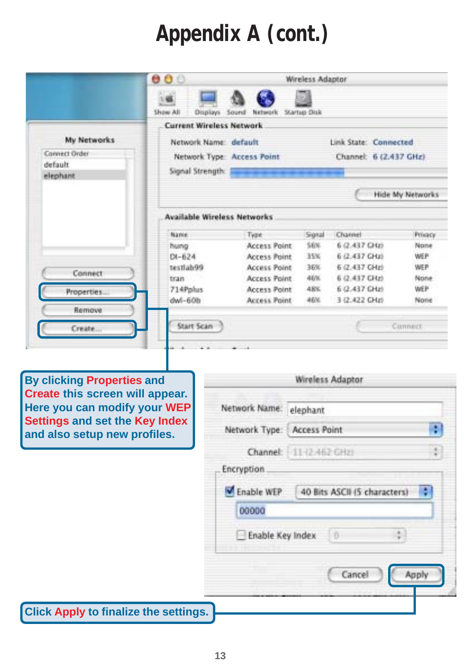### **Appendix A (cont.)**

|                                                                                                      | 000                                                     |                            | Wireless Adaptor    |                              |                  |
|------------------------------------------------------------------------------------------------------|---------------------------------------------------------|----------------------------|---------------------|------------------------------|------------------|
|                                                                                                      |                                                         |                            |                     |                              |                  |
|                                                                                                      | Show All<br>Displays<br><b>Current Wireless Network</b> | Sound-<br>Network          | Startup Dok         |                              |                  |
| My Networks                                                                                          |                                                         |                            |                     |                              |                  |
| Connect Order                                                                                        | Network Name: default                                   |                            |                     | Link State: Connected        |                  |
| default                                                                                              |                                                         | Network Type: Access Point |                     | Channel: 6 (2.437 GHz)       |                  |
| elephant                                                                                             | Signal Strength: E                                      |                            |                     |                              |                  |
|                                                                                                      |                                                         |                            |                     |                              | Hide My Networks |
|                                                                                                      | <b>Available Wireless Networks</b>                      |                            |                     |                              |                  |
|                                                                                                      | Namie                                                   | Type                       | Signal              | Channel                      | Privacy          |
|                                                                                                      | hung                                                    | Access Point               | 56%                 | 6 (2.437 CHz)                | None             |
|                                                                                                      | $DI - 624$                                              | Access Point               | 35%                 | 6 (2.437 GHz)                | WEP              |
| Connect                                                                                              | testlab99                                               | <b>Access Point</b>        | 36%                 | 6 (2.437 GHz)                | WEP              |
|                                                                                                      | tran                                                    | <b>Access Point</b>        | 46%                 | 6 (2.437 GHz)                | None             |
| Properties                                                                                           | 714Pplus                                                | Access Point               | 48K                 | 6 (2.437 GHz)                | WEP              |
| Remove                                                                                               | $d$ wl-60b                                              | <b>Access Point</b>        | 46%                 | 3 (2.422 CHz)                | None             |
| Create.                                                                                              | <b>Start Scan</b>                                       |                            |                     |                              | Cannect          |
| <b>By clicking Properties and</b><br>Create this screen will appear.<br>Here you can modify your WEP |                                                         | Network Name:              | elephant            | Wireless Adaptor             |                  |
| <b>Settings and set the Key Index</b>                                                                |                                                         |                            |                     |                              |                  |
| and also setup new profiles.                                                                         |                                                         | Network Type:              | <b>Access Point</b> |                              | ÷                |
|                                                                                                      |                                                         | Channel                    | 11-(2-462 GHz)      |                              |                  |
|                                                                                                      |                                                         | <b>Encryption</b>          |                     |                              |                  |
|                                                                                                      |                                                         | Enable WEP                 |                     | 40 Bits ASCII (5 characters) | ٥                |
|                                                                                                      |                                                         | 00000                      |                     |                              |                  |
|                                                                                                      |                                                         | Enable Key Index           |                     | D₿                           |                  |
|                                                                                                      |                                                         |                            |                     | Cancel                       | Apply            |
| <b>Click Apply to finalize the settings.</b>                                                         |                                                         |                            |                     |                              |                  |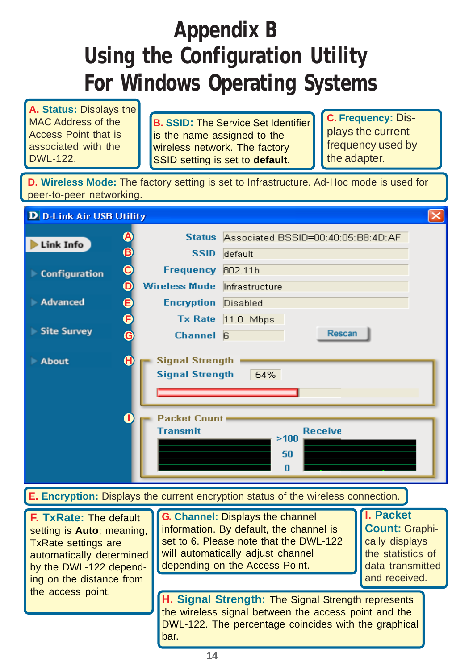#### **Appendix B Using the Configuration Utility For Windows Operating Systems**

**A. Status:** Displays the MAC Address of the Access Point that is associated with the DWL-122.

**B. SSID:** The Service Set Identifier is the name assigned to the wireless network. The factory SSID setting is set to **default**.

**C. Frequency:** Displays the current frequency used by the adapter.

**D. Wireless Mode:** The factory setting is set to Infrastructure. Ad-Hoc mode is used for peer-to-peer networking.

| <b>D</b> D-Link Air USB Utility                                                                                                                                                                                                                                                                                                                                     |                         |                                                                                            |                                                                                                                                                                    |  | $\times$ |
|---------------------------------------------------------------------------------------------------------------------------------------------------------------------------------------------------------------------------------------------------------------------------------------------------------------------------------------------------------------------|-------------------------|--------------------------------------------------------------------------------------------|--------------------------------------------------------------------------------------------------------------------------------------------------------------------|--|----------|
| Link Info                                                                                                                                                                                                                                                                                                                                                           | ABCD                    | <b>SSID</b>                                                                                | Status Associated BSSID=00:40:05:B8:4D:AF<br>default                                                                                                               |  |          |
| Configuration                                                                                                                                                                                                                                                                                                                                                       |                         | Frequency 802.11b                                                                          |                                                                                                                                                                    |  |          |
|                                                                                                                                                                                                                                                                                                                                                                     |                         | Wireless Mode Infrastructure                                                               |                                                                                                                                                                    |  |          |
| <b>Advanced</b>                                                                                                                                                                                                                                                                                                                                                     | e<br>0                  | <b>Encryption</b>                                                                          | Disabled                                                                                                                                                           |  |          |
|                                                                                                                                                                                                                                                                                                                                                                     |                         | <b>Tx Rate</b>                                                                             | $11.0$ Mbps                                                                                                                                                        |  |          |
| Site Survey                                                                                                                                                                                                                                                                                                                                                         | $\overline{\mathbf{G}}$ | <b>Channel</b>                                                                             | <b>Rescan</b><br>- 6                                                                                                                                               |  |          |
| About                                                                                                                                                                                                                                                                                                                                                               | $\mathbf G$             | <b>Signal Strength</b><br><b>Signal Strength</b><br><b>Packet Count</b><br><b>Transmit</b> | 54%<br><b>Receive</b><br>>100<br>50<br>n                                                                                                                           |  |          |
|                                                                                                                                                                                                                                                                                                                                                                     |                         |                                                                                            | <b>E. Encryption: Displays the current encryption status of the wireless connection.</b>                                                                           |  |          |
| G. Channel: Displays the channel<br>F. TxRate: The default<br>information. By default, the channel is<br>setting is Auto; meaning,<br>set to 6. Please note that the DWL-122<br><b>TxRate settings are</b><br>will automatically adjust channel<br>automatically determined<br>depending on the Access Point.<br>by the DWL-122 depend-<br>ing on the distance from |                         |                                                                                            | <b>I. Packet</b><br><b>Count: Graphi-</b><br>cally displays<br>the statistics of<br>data transmitted<br>and received.                                              |  |          |
| the access point.                                                                                                                                                                                                                                                                                                                                                   |                         |                                                                                            | H. Signal Strength: The Signal Strength represents<br>the wireless signal between the access point and the<br>DWL-122. The percentage coincides with the graphical |  |          |

bar.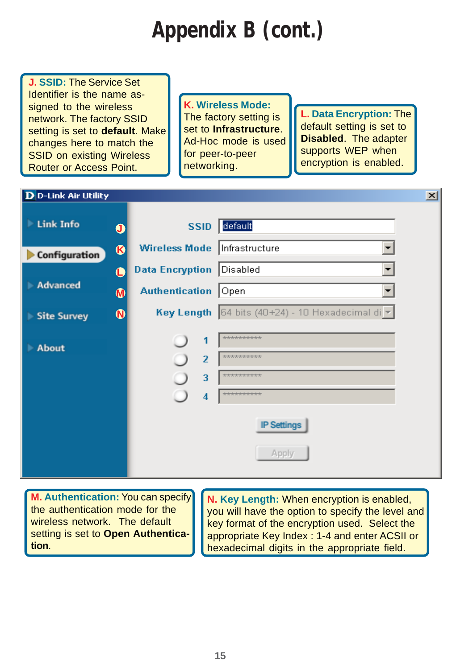### **Appendix B (cont.)**

**J. SSID:** The Service Set Identifier is the name assigned to the wireless network. The factory SSID setting is set to **default**. Make changes here to match the SSID on existing Wireless Router or Access Point.

**K. Wireless Mode:** The factory setting is set to **Infrastructure**. Ad-Hoc mode is used for peer-to-peer networking.

**L. Data Encryption:** The default setting is set to **Disabled**. The adapter supports WEP when encryption is enabled.

| <b>D</b> D-Link Air Utility                 |                       |                               | $\vert x \vert$                                                                   |
|---------------------------------------------|-----------------------|-------------------------------|-----------------------------------------------------------------------------------|
| <b>Link Info</b>                            | $\mathbf 0$           | <b>SSID</b>                   | default                                                                           |
| <b>Configuration</b>                        | $\bf \Phi$            | <b>Wireless Mode</b>          | Infrastructure                                                                    |
|                                             | Œ                     | <b>Data Encryption</b>        | Disabled                                                                          |
| Advanced                                    | $\boldsymbol{\Phi}$   | <b>Authentication</b>         | Open                                                                              |
| <b>Site Survey</b><br>$\blacktriangleright$ | $\boldsymbol{\omega}$ |                               | <b>Key Length</b> $ 64 \text{ bits } (40+24) - 10 \text{ Hexadecimal di } \nabla$ |
| <b>About</b>                                |                       | 1<br>$\overline{2}$<br>3<br>4 | ***********<br>**********<br>**********<br>**********<br><b>IP Settings</b>       |
|                                             |                       |                               | Apply                                                                             |

**M. Authentication:** You can specify the authentication mode for the wireless network. The default setting is set to **Open Authentication**.

**N. Key Length:** When encryption is enabled, you will have the option to specify the level and key format of the encryption used. Select the appropriate Key Index : 1-4 and enter ACSII or hexadecimal digits in the appropriate field.